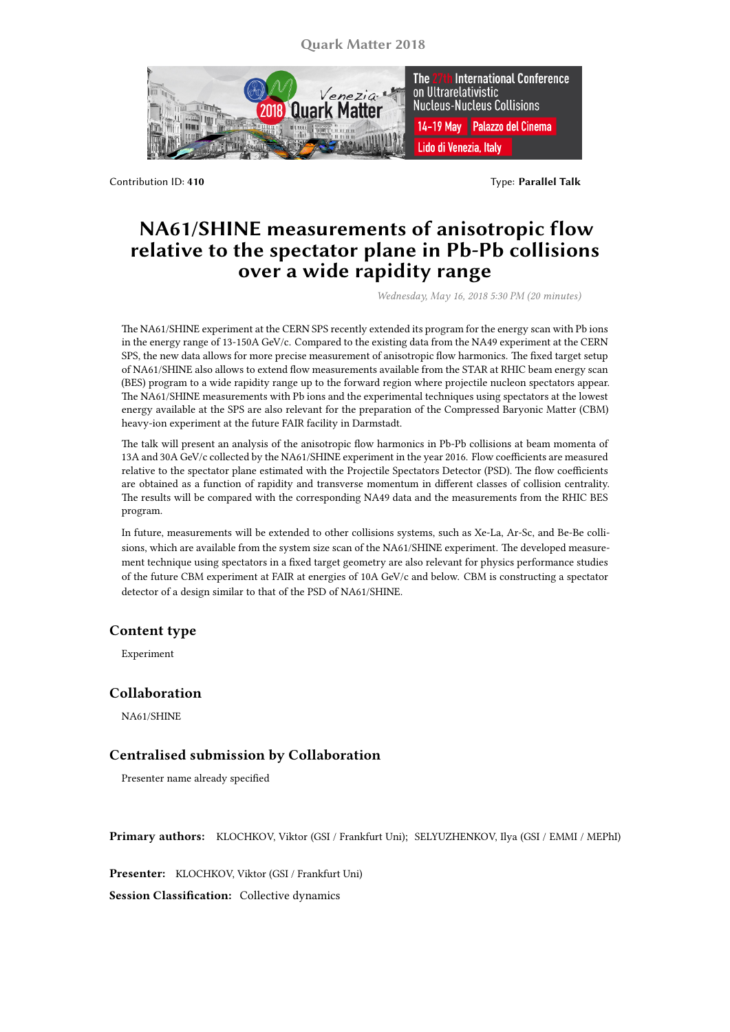**Quark Matter 2018**



Contribution ID: **410** Type: **Parallel Talk**

## **NA61/SHINE measurements of anisotropic flow relative to the spectator plane in Pb-Pb collisions over a wide rapidity range**

*Wednesday, May 16, 2018 5:30 PM (20 minutes)*

The NA61/SHINE experiment at the CERN SPS recently extended its program for the energy scan with Pb ions in the energy range of 13-150A GeV/c. Compared to the existing data from the NA49 experiment at the CERN SPS, the new data allows for more precise measurement of anisotropic flow harmonics. The fixed target setup of NA61/SHINE also allows to extend flow measurements available from the STAR at RHIC beam energy scan (BES) program to a wide rapidity range up to the forward region where projectile nucleon spectators appear. The NA61/SHINE measurements with Pb ions and the experimental techniques using spectators at the lowest energy available at the SPS are also relevant for the preparation of the Compressed Baryonic Matter (CBM) heavy-ion experiment at the future FAIR facility in Darmstadt.

The talk will present an analysis of the anisotropic flow harmonics in Pb-Pb collisions at beam momenta of 13A and 30A GeV/c collected by the NA61/SHINE experiment in the year 2016. Flow coefficients are measured relative to the spectator plane estimated with the Projectile Spectators Detector (PSD). The flow coefficients are obtained as a function of rapidity and transverse momentum in different classes of collision centrality. The results will be compared with the corresponding NA49 data and the measurements from the RHIC BES program.

In future, measurements will be extended to other collisions systems, such as Xe-La, Ar-Sc, and Be-Be collisions, which are available from the system size scan of the NA61/SHINE experiment. The developed measurement technique using spectators in a fixed target geometry are also relevant for physics performance studies of the future CBM experiment at FAIR at energies of 10A GeV/c and below. CBM is constructing a spectator detector of a design similar to that of the PSD of NA61/SHINE.

## **Content type**

Experiment

## **Collaboration**

NA61/SHINE

## **Centralised submission by Collaboration**

Presenter name already specified

**Primary authors:** KLOCHKOV, Viktor (GSI / Frankfurt Uni); SELYUZHENKOV, Ilya (GSI / EMMI / MEPhI)

**Presenter:** KLOCHKOV, Viktor (GSI / Frankfurt Uni)

**Session Classification:** Collective dynamics